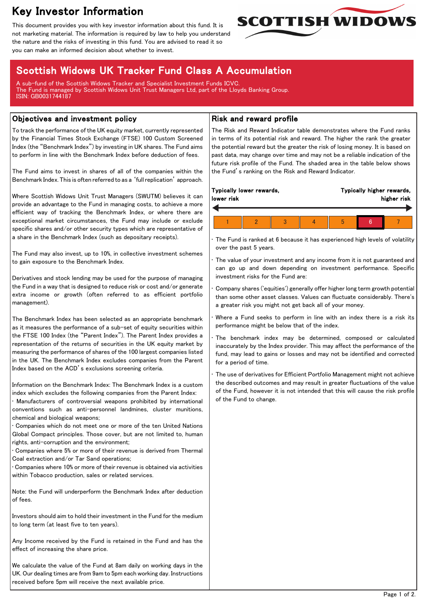# Key Investor Information

This document provides you with key investor information about this fund. It is not marketing material. The information is required by law to help you understand the nature and the risks of investing in this fund. You are advised to read it so you can make an informed decision about whether to invest.



# Scottish Widows UK Tracker Fund Class A Accumulation

A sub-fund of the Scottish Widows Tracker and Specialist Investment Funds ICVC. The Fund is managed by Scottish Widows Unit Trust Managers Ltd, part of the Lloyds Banking Group. ISIN: GB0031744187

### Objectives and investment policy

To track the performance of the UK equity market, currently represented by the Financial Times Stock Exchange (FTSE) 100 Custom Screened Index (the "Benchmark Index") by investing in UK shares. The Fund aims to perform in line with the Benchmark Index before deduction of fees.

The Fund aims to invest in shares of all of the companies within the Benchmark Index. This is often referred to as a 'full replication' approach.

Where Scottish Widows Unit Trust Managers (SWUTM) believes it can provide an advantage to the Fund in managing costs, to achieve a more efficient way of tracking the Benchmark Index, or where there are exceptional market circumstances, the Fund may include or exclude specific shares and/or other security types which are representative of a share in the Benchmark Index (such as depositary receipts).

The Fund may also invest, up to 10%, in collective investment schemes to gain exposure to the Benchmark Index.

Derivatives and stock lending may be used for the purpose of managing the Fund in a way that is designed to reduce risk or cost and/or generate extra income or growth (often referred to as efficient portfolio management).

The Benchmark Index has been selected as an appropriate benchmark as it measures the performance of a sub-set of equity securities within the FTSE 100 Index (the "Parent Index"). The Parent Index provides a representation of the returns of securities in the UK equity market by measuring the performance of shares of the 100 largest companies listed in the UK. The Benchmark Index excludes companies from the Parent Index based on the ACD's exclusions screening criteria.

Information on the Benchmark Index: The Benchmark Index is a custom index which excludes the following companies from the Parent Index:

• Manufacturers of controversial weapons prohibited by international conventions such as anti-personnel landmines, cluster munitions, chemical and biological weapons;

• Companies which do not meet one or more of the ten United Nations Global Compact principles. Those cover, but are not limited to, human rights, anti-corruption and the environment;

• Companies where 5% or more of their revenue is derived from Thermal Coal extraction and/or Tar Sand operations;

• Companies where 10% or more of their revenue is obtained via activities within Tobacco production, sales or related services.

Note: the Fund will underperform the Benchmark Index after deduction of fees.

Investors should aim to hold their investment in the Fund for the medium to long term (at least five to ten years).

Any Income received by the Fund is retained in the Fund and has the effect of increasing the share price.

We calculate the value of the Fund at 8am daily on working days in the UK. Our dealing times are from 9am to 5pm each working day. Instructions received before 5pm will receive the next available price.

## Risk and reward profile

The Risk and Reward Indicator table demonstrates where the Fund ranks in terms of its potential risk and reward. The higher the rank the greater the potential reward but the greater the risk of losing money. It is based on past data, may change over time and may not be a reliable indication of the future risk profile of the Fund. The shaded area in the table below shows the Fund's ranking on the Risk and Reward Indicator.

| lower risk | Typically lower rewards, |  |   | Typically higher rewards,<br>higher risk |  |  |  |
|------------|--------------------------|--|---|------------------------------------------|--|--|--|
|            |                          |  |   |                                          |  |  |  |
|            |                          |  | Þ |                                          |  |  |  |

The Fund is ranked at 6 because it has experienced high levels of volatility over the past 5 years.

The value of your investment and any income from it is not guaranteed and can go up and down depending on investment performance. Specific investment risks for the Fund are:

• Company shares ('equities') generally offer higher long term growth potential than some other asset classes. Values can fluctuate considerably. There's a greater risk you might not get back all of your money.

Where a Fund seeks to perform in line with an index there is a risk its performance might be below that of the index.

The benchmark index may be determined, composed or calculated inaccurately by the Index provider. This may affect the performance of the fund, may lead to gains or losses and may not be identified and corrected for a period of time.

The use of derivatives for Efficient Portfolio Management might not achieve the described outcomes and may result in greater fluctuations of the value of the Fund, however it is not intended that this will cause the risk profile of the Fund to change.